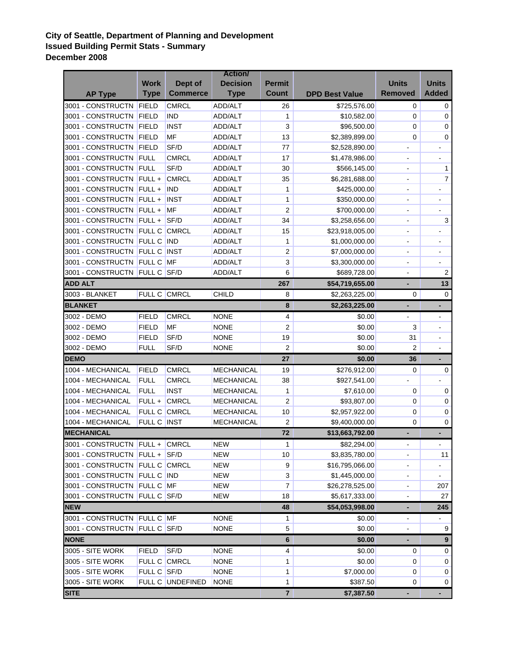## **City of Seattle, Department of Planning and Development Issued Building Permit Stats - Summary December 2008**

| <b>Removed</b><br><b>Added</b><br><b>Commerce</b><br><b>Count</b><br><b>Type</b><br><b>Type</b><br><b>DPD Best Value</b><br><b>AP Type</b><br>3001 - CONSTRUCTN<br><b>CMRCL</b><br>FIELD<br>ADD/ALT<br>26<br>\$725,576.00<br>0<br>0<br>3001 - CONSTRUCTN<br><b>FIELD</b><br><b>IND</b><br>ADD/ALT<br>1<br>\$10,582.00<br>0<br>0<br>3<br>3001 - CONSTRUCTN<br><b>FIELD</b><br><b>INST</b><br>ADD/ALT<br>\$96,500.00<br>0<br>0<br>3001 - CONSTRUCTN<br><b>FIELD</b><br>MF<br>13<br>ADD/ALT<br>\$2,389,899.00<br>0<br>0<br>SF/D<br>3001 - CONSTRUCTN<br><b>FIELD</b><br>ADD/ALT<br>77<br>\$2,528,890.00<br>$\qquad \qquad \blacksquare$<br>-<br>3001 - CONSTRUCTN FULL<br><b>CMRCL</b><br>ADD/ALT<br>17<br>\$1,478,986.00<br>$\blacksquare$<br>-<br>SF/D<br>3001 - CONSTRUCTN FULL<br>30<br>ADD/ALT<br>\$566,145.00<br>1<br>۰<br><b>CMRCL</b><br>3001 - CONSTRUCTN FULL +<br>7<br>ADD/ALT<br>35<br>\$6,281,688.00<br>÷,<br>3001 - CONSTRUCTN FULL +<br><b>IND</b><br>$\mathbf{1}$<br>ADD/ALT<br>\$425,000.00<br>$\blacksquare$<br>$\overline{\phantom{0}}$<br>3001 - CONSTRUCTN<br>FULL +<br><b>INST</b><br>1<br>ADD/ALT<br>\$350,000.00<br>$\blacksquare$<br>÷,<br>$\overline{2}$<br>3001 - CONSTRUCTN<br>$FULL +$<br>MF<br>\$700,000.00<br>ADD/ALT<br>3001 - CONSTRUCTN<br>SF/D<br>34<br>3<br>$FULL +$<br>ADD/ALT<br>\$3,258,656.00<br>3001 - CONSTRUCTN FULL C CMRCL<br>15<br>ADD/ALT<br>\$23,918,005.00<br>÷<br>3001 - CONSTRUCTN<br><b>FULL C IND</b><br>ADD/ALT<br>1<br>\$1,000,000.00<br>$\overline{\phantom{a}}$<br>-<br>2<br>3001 - CONSTRUCTN FULL C INST<br>\$7,000,000.00<br>ADD/ALT<br>$\overline{\phantom{0}}$<br>$\overline{\phantom{a}}$<br>3<br>3001 - CONSTRUCTN FULL C MF<br>ADD/ALT<br>\$3,300,000.00<br>$\blacksquare$<br>-<br>6<br>3001 - CONSTRUCTN<br>FULL C SF/D<br>$\boldsymbol{2}$<br>ADD/ALT<br>\$689,728.00<br>÷<br>13<br><b>ADD ALT</b><br>267<br>\$54,719,655.00<br>-<br>3003 - BLANKET<br>FULL C CMRCL<br><b>CHILD</b><br>8<br>\$2,263,225.00<br>0<br>0<br><b>BLANKET</b><br>8<br>\$2,263,225.00<br>÷,<br>$\blacksquare$<br><b>FIELD</b><br><b>CMRCL</b><br><b>NONE</b><br>3002 - DEMO<br>4<br>\$0.00<br>$\sqrt{2}$<br><b>FIELD</b><br>MF<br><b>NONE</b><br>3<br>3002 - DEMO<br>\$0.00<br>3002 - DEMO<br><b>FIELD</b><br>SF/D<br><b>NONE</b><br>19<br>\$0.00<br>31<br>$\overline{\phantom{a}}$ |             |             |         | <b>Action/</b>  |                |        |              |              |
|-----------------------------------------------------------------------------------------------------------------------------------------------------------------------------------------------------------------------------------------------------------------------------------------------------------------------------------------------------------------------------------------------------------------------------------------------------------------------------------------------------------------------------------------------------------------------------------------------------------------------------------------------------------------------------------------------------------------------------------------------------------------------------------------------------------------------------------------------------------------------------------------------------------------------------------------------------------------------------------------------------------------------------------------------------------------------------------------------------------------------------------------------------------------------------------------------------------------------------------------------------------------------------------------------------------------------------------------------------------------------------------------------------------------------------------------------------------------------------------------------------------------------------------------------------------------------------------------------------------------------------------------------------------------------------------------------------------------------------------------------------------------------------------------------------------------------------------------------------------------------------------------------------------------------------------------------------------------------------------------------------------------------------------------------------------------------------------------------------------------------------------------------------------------------------------------------------------------------------------------------------------------------------------------------------------------------------|-------------|-------------|---------|-----------------|----------------|--------|--------------|--------------|
|                                                                                                                                                                                                                                                                                                                                                                                                                                                                                                                                                                                                                                                                                                                                                                                                                                                                                                                                                                                                                                                                                                                                                                                                                                                                                                                                                                                                                                                                                                                                                                                                                                                                                                                                                                                                                                                                                                                                                                                                                                                                                                                                                                                                                                                                                                                             |             | <b>Work</b> | Dept of | <b>Decision</b> | <b>Permit</b>  |        | <b>Units</b> | <b>Units</b> |
|                                                                                                                                                                                                                                                                                                                                                                                                                                                                                                                                                                                                                                                                                                                                                                                                                                                                                                                                                                                                                                                                                                                                                                                                                                                                                                                                                                                                                                                                                                                                                                                                                                                                                                                                                                                                                                                                                                                                                                                                                                                                                                                                                                                                                                                                                                                             |             |             |         |                 |                |        |              |              |
|                                                                                                                                                                                                                                                                                                                                                                                                                                                                                                                                                                                                                                                                                                                                                                                                                                                                                                                                                                                                                                                                                                                                                                                                                                                                                                                                                                                                                                                                                                                                                                                                                                                                                                                                                                                                                                                                                                                                                                                                                                                                                                                                                                                                                                                                                                                             |             |             |         |                 |                |        |              |              |
|                                                                                                                                                                                                                                                                                                                                                                                                                                                                                                                                                                                                                                                                                                                                                                                                                                                                                                                                                                                                                                                                                                                                                                                                                                                                                                                                                                                                                                                                                                                                                                                                                                                                                                                                                                                                                                                                                                                                                                                                                                                                                                                                                                                                                                                                                                                             |             |             |         |                 |                |        |              |              |
|                                                                                                                                                                                                                                                                                                                                                                                                                                                                                                                                                                                                                                                                                                                                                                                                                                                                                                                                                                                                                                                                                                                                                                                                                                                                                                                                                                                                                                                                                                                                                                                                                                                                                                                                                                                                                                                                                                                                                                                                                                                                                                                                                                                                                                                                                                                             |             |             |         |                 |                |        |              |              |
|                                                                                                                                                                                                                                                                                                                                                                                                                                                                                                                                                                                                                                                                                                                                                                                                                                                                                                                                                                                                                                                                                                                                                                                                                                                                                                                                                                                                                                                                                                                                                                                                                                                                                                                                                                                                                                                                                                                                                                                                                                                                                                                                                                                                                                                                                                                             |             |             |         |                 |                |        |              |              |
|                                                                                                                                                                                                                                                                                                                                                                                                                                                                                                                                                                                                                                                                                                                                                                                                                                                                                                                                                                                                                                                                                                                                                                                                                                                                                                                                                                                                                                                                                                                                                                                                                                                                                                                                                                                                                                                                                                                                                                                                                                                                                                                                                                                                                                                                                                                             |             |             |         |                 |                |        |              |              |
|                                                                                                                                                                                                                                                                                                                                                                                                                                                                                                                                                                                                                                                                                                                                                                                                                                                                                                                                                                                                                                                                                                                                                                                                                                                                                                                                                                                                                                                                                                                                                                                                                                                                                                                                                                                                                                                                                                                                                                                                                                                                                                                                                                                                                                                                                                                             |             |             |         |                 |                |        |              |              |
|                                                                                                                                                                                                                                                                                                                                                                                                                                                                                                                                                                                                                                                                                                                                                                                                                                                                                                                                                                                                                                                                                                                                                                                                                                                                                                                                                                                                                                                                                                                                                                                                                                                                                                                                                                                                                                                                                                                                                                                                                                                                                                                                                                                                                                                                                                                             |             |             |         |                 |                |        |              |              |
|                                                                                                                                                                                                                                                                                                                                                                                                                                                                                                                                                                                                                                                                                                                                                                                                                                                                                                                                                                                                                                                                                                                                                                                                                                                                                                                                                                                                                                                                                                                                                                                                                                                                                                                                                                                                                                                                                                                                                                                                                                                                                                                                                                                                                                                                                                                             |             |             |         |                 |                |        |              |              |
|                                                                                                                                                                                                                                                                                                                                                                                                                                                                                                                                                                                                                                                                                                                                                                                                                                                                                                                                                                                                                                                                                                                                                                                                                                                                                                                                                                                                                                                                                                                                                                                                                                                                                                                                                                                                                                                                                                                                                                                                                                                                                                                                                                                                                                                                                                                             |             |             |         |                 |                |        |              |              |
|                                                                                                                                                                                                                                                                                                                                                                                                                                                                                                                                                                                                                                                                                                                                                                                                                                                                                                                                                                                                                                                                                                                                                                                                                                                                                                                                                                                                                                                                                                                                                                                                                                                                                                                                                                                                                                                                                                                                                                                                                                                                                                                                                                                                                                                                                                                             |             |             |         |                 |                |        |              |              |
|                                                                                                                                                                                                                                                                                                                                                                                                                                                                                                                                                                                                                                                                                                                                                                                                                                                                                                                                                                                                                                                                                                                                                                                                                                                                                                                                                                                                                                                                                                                                                                                                                                                                                                                                                                                                                                                                                                                                                                                                                                                                                                                                                                                                                                                                                                                             |             |             |         |                 |                |        |              |              |
|                                                                                                                                                                                                                                                                                                                                                                                                                                                                                                                                                                                                                                                                                                                                                                                                                                                                                                                                                                                                                                                                                                                                                                                                                                                                                                                                                                                                                                                                                                                                                                                                                                                                                                                                                                                                                                                                                                                                                                                                                                                                                                                                                                                                                                                                                                                             |             |             |         |                 |                |        |              |              |
|                                                                                                                                                                                                                                                                                                                                                                                                                                                                                                                                                                                                                                                                                                                                                                                                                                                                                                                                                                                                                                                                                                                                                                                                                                                                                                                                                                                                                                                                                                                                                                                                                                                                                                                                                                                                                                                                                                                                                                                                                                                                                                                                                                                                                                                                                                                             |             |             |         |                 |                |        |              |              |
|                                                                                                                                                                                                                                                                                                                                                                                                                                                                                                                                                                                                                                                                                                                                                                                                                                                                                                                                                                                                                                                                                                                                                                                                                                                                                                                                                                                                                                                                                                                                                                                                                                                                                                                                                                                                                                                                                                                                                                                                                                                                                                                                                                                                                                                                                                                             |             |             |         |                 |                |        |              |              |
|                                                                                                                                                                                                                                                                                                                                                                                                                                                                                                                                                                                                                                                                                                                                                                                                                                                                                                                                                                                                                                                                                                                                                                                                                                                                                                                                                                                                                                                                                                                                                                                                                                                                                                                                                                                                                                                                                                                                                                                                                                                                                                                                                                                                                                                                                                                             |             |             |         |                 |                |        |              |              |
|                                                                                                                                                                                                                                                                                                                                                                                                                                                                                                                                                                                                                                                                                                                                                                                                                                                                                                                                                                                                                                                                                                                                                                                                                                                                                                                                                                                                                                                                                                                                                                                                                                                                                                                                                                                                                                                                                                                                                                                                                                                                                                                                                                                                                                                                                                                             |             |             |         |                 |                |        |              |              |
|                                                                                                                                                                                                                                                                                                                                                                                                                                                                                                                                                                                                                                                                                                                                                                                                                                                                                                                                                                                                                                                                                                                                                                                                                                                                                                                                                                                                                                                                                                                                                                                                                                                                                                                                                                                                                                                                                                                                                                                                                                                                                                                                                                                                                                                                                                                             |             |             |         |                 |                |        |              |              |
|                                                                                                                                                                                                                                                                                                                                                                                                                                                                                                                                                                                                                                                                                                                                                                                                                                                                                                                                                                                                                                                                                                                                                                                                                                                                                                                                                                                                                                                                                                                                                                                                                                                                                                                                                                                                                                                                                                                                                                                                                                                                                                                                                                                                                                                                                                                             |             |             |         |                 |                |        |              |              |
|                                                                                                                                                                                                                                                                                                                                                                                                                                                                                                                                                                                                                                                                                                                                                                                                                                                                                                                                                                                                                                                                                                                                                                                                                                                                                                                                                                                                                                                                                                                                                                                                                                                                                                                                                                                                                                                                                                                                                                                                                                                                                                                                                                                                                                                                                                                             |             |             |         |                 |                |        |              |              |
|                                                                                                                                                                                                                                                                                                                                                                                                                                                                                                                                                                                                                                                                                                                                                                                                                                                                                                                                                                                                                                                                                                                                                                                                                                                                                                                                                                                                                                                                                                                                                                                                                                                                                                                                                                                                                                                                                                                                                                                                                                                                                                                                                                                                                                                                                                                             |             |             |         |                 |                |        |              |              |
|                                                                                                                                                                                                                                                                                                                                                                                                                                                                                                                                                                                                                                                                                                                                                                                                                                                                                                                                                                                                                                                                                                                                                                                                                                                                                                                                                                                                                                                                                                                                                                                                                                                                                                                                                                                                                                                                                                                                                                                                                                                                                                                                                                                                                                                                                                                             |             |             |         |                 |                |        |              |              |
|                                                                                                                                                                                                                                                                                                                                                                                                                                                                                                                                                                                                                                                                                                                                                                                                                                                                                                                                                                                                                                                                                                                                                                                                                                                                                                                                                                                                                                                                                                                                                                                                                                                                                                                                                                                                                                                                                                                                                                                                                                                                                                                                                                                                                                                                                                                             |             |             |         |                 |                |        |              |              |
|                                                                                                                                                                                                                                                                                                                                                                                                                                                                                                                                                                                                                                                                                                                                                                                                                                                                                                                                                                                                                                                                                                                                                                                                                                                                                                                                                                                                                                                                                                                                                                                                                                                                                                                                                                                                                                                                                                                                                                                                                                                                                                                                                                                                                                                                                                                             |             |             |         |                 |                |        |              |              |
|                                                                                                                                                                                                                                                                                                                                                                                                                                                                                                                                                                                                                                                                                                                                                                                                                                                                                                                                                                                                                                                                                                                                                                                                                                                                                                                                                                                                                                                                                                                                                                                                                                                                                                                                                                                                                                                                                                                                                                                                                                                                                                                                                                                                                                                                                                                             | 3002 - DEMO | <b>FULL</b> | SF/D    | <b>NONE</b>     | $\overline{2}$ | \$0.00 | 2            |              |
| <b>DEMO</b><br>\$0.00<br>27<br>36<br>٠                                                                                                                                                                                                                                                                                                                                                                                                                                                                                                                                                                                                                                                                                                                                                                                                                                                                                                                                                                                                                                                                                                                                                                                                                                                                                                                                                                                                                                                                                                                                                                                                                                                                                                                                                                                                                                                                                                                                                                                                                                                                                                                                                                                                                                                                                      |             |             |         |                 |                |        |              |              |
| <b>CMRCL</b><br>1004 - MECHANICAL<br><b>FIELD</b><br>MECHANICAL<br>19<br>\$276,912.00<br>0<br>0                                                                                                                                                                                                                                                                                                                                                                                                                                                                                                                                                                                                                                                                                                                                                                                                                                                                                                                                                                                                                                                                                                                                                                                                                                                                                                                                                                                                                                                                                                                                                                                                                                                                                                                                                                                                                                                                                                                                                                                                                                                                                                                                                                                                                             |             |             |         |                 |                |        |              |              |
| 1004 - MECHANICAL<br><b>FULL</b><br><b>CMRCL</b><br>38<br><b>MECHANICAL</b><br>\$927,541.00                                                                                                                                                                                                                                                                                                                                                                                                                                                                                                                                                                                                                                                                                                                                                                                                                                                                                                                                                                                                                                                                                                                                                                                                                                                                                                                                                                                                                                                                                                                                                                                                                                                                                                                                                                                                                                                                                                                                                                                                                                                                                                                                                                                                                                 |             |             |         |                 |                |        |              |              |
| <b>INST</b><br>1004 - MECHANICAL<br><b>FULL</b><br>1<br>0<br>$\pmb{0}$<br><b>MECHANICAL</b><br>\$7,610.00                                                                                                                                                                                                                                                                                                                                                                                                                                                                                                                                                                                                                                                                                                                                                                                                                                                                                                                                                                                                                                                                                                                                                                                                                                                                                                                                                                                                                                                                                                                                                                                                                                                                                                                                                                                                                                                                                                                                                                                                                                                                                                                                                                                                                   |             |             |         |                 |                |        |              |              |
| <b>CMRCL</b><br>2<br>1004 - MECHANICAL<br>FULL +<br><b>MECHANICAL</b><br>\$93,807.00<br>0<br>0                                                                                                                                                                                                                                                                                                                                                                                                                                                                                                                                                                                                                                                                                                                                                                                                                                                                                                                                                                                                                                                                                                                                                                                                                                                                                                                                                                                                                                                                                                                                                                                                                                                                                                                                                                                                                                                                                                                                                                                                                                                                                                                                                                                                                              |             |             |         |                 |                |        |              |              |
| 1004 - MECHANICAL<br>FULL C CMRCL<br><b>MECHANICAL</b><br>10<br>\$2,957,922.00<br>0<br>0                                                                                                                                                                                                                                                                                                                                                                                                                                                                                                                                                                                                                                                                                                                                                                                                                                                                                                                                                                                                                                                                                                                                                                                                                                                                                                                                                                                                                                                                                                                                                                                                                                                                                                                                                                                                                                                                                                                                                                                                                                                                                                                                                                                                                                    |             |             |         |                 |                |        |              |              |
| $\overline{2}$<br>1004 - MECHANICAL<br>FULL C INST<br>0<br><b>MECHANICAL</b><br>\$9,400,000.00<br>0                                                                                                                                                                                                                                                                                                                                                                                                                                                                                                                                                                                                                                                                                                                                                                                                                                                                                                                                                                                                                                                                                                                                                                                                                                                                                                                                                                                                                                                                                                                                                                                                                                                                                                                                                                                                                                                                                                                                                                                                                                                                                                                                                                                                                         |             |             |         |                 |                |        |              |              |
| <b>MECHANICAL</b><br>72<br>\$13,663,792.00<br>٠                                                                                                                                                                                                                                                                                                                                                                                                                                                                                                                                                                                                                                                                                                                                                                                                                                                                                                                                                                                                                                                                                                                                                                                                                                                                                                                                                                                                                                                                                                                                                                                                                                                                                                                                                                                                                                                                                                                                                                                                                                                                                                                                                                                                                                                                             |             |             |         |                 |                |        |              |              |
| <b>NEW</b><br>3001 - CONSTRUCTN FULL + CMRCL<br>1<br>\$82,294.00<br>$\blacksquare$                                                                                                                                                                                                                                                                                                                                                                                                                                                                                                                                                                                                                                                                                                                                                                                                                                                                                                                                                                                                                                                                                                                                                                                                                                                                                                                                                                                                                                                                                                                                                                                                                                                                                                                                                                                                                                                                                                                                                                                                                                                                                                                                                                                                                                          |             |             |         |                 |                |        |              |              |
| 3001 - CONSTRUCTN FULL + SF/D<br><b>NEW</b><br>10<br>\$3,835,780.00<br>11<br>۰                                                                                                                                                                                                                                                                                                                                                                                                                                                                                                                                                                                                                                                                                                                                                                                                                                                                                                                                                                                                                                                                                                                                                                                                                                                                                                                                                                                                                                                                                                                                                                                                                                                                                                                                                                                                                                                                                                                                                                                                                                                                                                                                                                                                                                              |             |             |         |                 |                |        |              |              |
| 3001 - CONSTRUCTN FULL C CMRCL<br>9<br><b>NEW</b><br>\$16,795,066.00                                                                                                                                                                                                                                                                                                                                                                                                                                                                                                                                                                                                                                                                                                                                                                                                                                                                                                                                                                                                                                                                                                                                                                                                                                                                                                                                                                                                                                                                                                                                                                                                                                                                                                                                                                                                                                                                                                                                                                                                                                                                                                                                                                                                                                                        |             |             |         |                 |                |        |              |              |
| 3<br>3001 - CONSTRUCTN FULL C IND<br><b>NEW</b><br>\$1,445,000.00<br>$\blacksquare$                                                                                                                                                                                                                                                                                                                                                                                                                                                                                                                                                                                                                                                                                                                                                                                                                                                                                                                                                                                                                                                                                                                                                                                                                                                                                                                                                                                                                                                                                                                                                                                                                                                                                                                                                                                                                                                                                                                                                                                                                                                                                                                                                                                                                                         |             |             |         |                 |                |        |              |              |
| 7<br>3001 - CONSTRUCTN FULL C MF<br><b>NEW</b><br>\$26,278,525.00<br>207<br>÷,                                                                                                                                                                                                                                                                                                                                                                                                                                                                                                                                                                                                                                                                                                                                                                                                                                                                                                                                                                                                                                                                                                                                                                                                                                                                                                                                                                                                                                                                                                                                                                                                                                                                                                                                                                                                                                                                                                                                                                                                                                                                                                                                                                                                                                              |             |             |         |                 |                |        |              |              |
| 3001 - CONSTRUCTN FULL C SF/D<br><b>NEW</b><br>18<br>\$5,617,333.00<br>27<br>-                                                                                                                                                                                                                                                                                                                                                                                                                                                                                                                                                                                                                                                                                                                                                                                                                                                                                                                                                                                                                                                                                                                                                                                                                                                                                                                                                                                                                                                                                                                                                                                                                                                                                                                                                                                                                                                                                                                                                                                                                                                                                                                                                                                                                                              |             |             |         |                 |                |        |              |              |
| <b>NEW</b><br>\$54,053,998.00<br>245<br>48<br>٠                                                                                                                                                                                                                                                                                                                                                                                                                                                                                                                                                                                                                                                                                                                                                                                                                                                                                                                                                                                                                                                                                                                                                                                                                                                                                                                                                                                                                                                                                                                                                                                                                                                                                                                                                                                                                                                                                                                                                                                                                                                                                                                                                                                                                                                                             |             |             |         |                 |                |        |              |              |
| 3001 - CONSTRUCTN FULL C MF<br><b>NONE</b><br>1<br>\$0.00<br>$\blacksquare$<br>$\overline{\phantom{0}}$                                                                                                                                                                                                                                                                                                                                                                                                                                                                                                                                                                                                                                                                                                                                                                                                                                                                                                                                                                                                                                                                                                                                                                                                                                                                                                                                                                                                                                                                                                                                                                                                                                                                                                                                                                                                                                                                                                                                                                                                                                                                                                                                                                                                                     |             |             |         |                 |                |        |              |              |
| 3001 - CONSTRUCTN FULL C SF/D<br><b>NONE</b><br>\$0.00<br>5<br>9                                                                                                                                                                                                                                                                                                                                                                                                                                                                                                                                                                                                                                                                                                                                                                                                                                                                                                                                                                                                                                                                                                                                                                                                                                                                                                                                                                                                                                                                                                                                                                                                                                                                                                                                                                                                                                                                                                                                                                                                                                                                                                                                                                                                                                                            |             |             |         |                 |                |        |              |              |
| <b>NONE</b><br>\$0.00<br>6<br>9                                                                                                                                                                                                                                                                                                                                                                                                                                                                                                                                                                                                                                                                                                                                                                                                                                                                                                                                                                                                                                                                                                                                                                                                                                                                                                                                                                                                                                                                                                                                                                                                                                                                                                                                                                                                                                                                                                                                                                                                                                                                                                                                                                                                                                                                                             |             |             |         |                 |                |        |              |              |
| 3005 - SITE WORK<br>SF/D<br><b>NONE</b><br>4<br>\$0.00<br><b>FIELD</b><br>0<br>0                                                                                                                                                                                                                                                                                                                                                                                                                                                                                                                                                                                                                                                                                                                                                                                                                                                                                                                                                                                                                                                                                                                                                                                                                                                                                                                                                                                                                                                                                                                                                                                                                                                                                                                                                                                                                                                                                                                                                                                                                                                                                                                                                                                                                                            |             |             |         |                 |                |        |              |              |
| 3005 - SITE WORK<br>FULL C CMRCL<br><b>NONE</b><br>\$0.00<br>1<br>0<br>0                                                                                                                                                                                                                                                                                                                                                                                                                                                                                                                                                                                                                                                                                                                                                                                                                                                                                                                                                                                                                                                                                                                                                                                                                                                                                                                                                                                                                                                                                                                                                                                                                                                                                                                                                                                                                                                                                                                                                                                                                                                                                                                                                                                                                                                    |             |             |         |                 |                |        |              |              |
| 3005 - SITE WORK<br>FULL C SF/D<br><b>NONE</b><br>1<br>\$7,000.00<br>0<br>0                                                                                                                                                                                                                                                                                                                                                                                                                                                                                                                                                                                                                                                                                                                                                                                                                                                                                                                                                                                                                                                                                                                                                                                                                                                                                                                                                                                                                                                                                                                                                                                                                                                                                                                                                                                                                                                                                                                                                                                                                                                                                                                                                                                                                                                 |             |             |         |                 |                |        |              |              |
| 3005 - SITE WORK<br>FULL C UNDEFINED<br><b>NONE</b><br>1<br>\$387.50<br>0<br>0                                                                                                                                                                                                                                                                                                                                                                                                                                                                                                                                                                                                                                                                                                                                                                                                                                                                                                                                                                                                                                                                                                                                                                                                                                                                                                                                                                                                                                                                                                                                                                                                                                                                                                                                                                                                                                                                                                                                                                                                                                                                                                                                                                                                                                              |             |             |         |                 |                |        |              |              |
| <b>SITE</b><br>$\overline{7}$<br>\$7,387.50<br>۰<br>۰                                                                                                                                                                                                                                                                                                                                                                                                                                                                                                                                                                                                                                                                                                                                                                                                                                                                                                                                                                                                                                                                                                                                                                                                                                                                                                                                                                                                                                                                                                                                                                                                                                                                                                                                                                                                                                                                                                                                                                                                                                                                                                                                                                                                                                                                       |             |             |         |                 |                |        |              |              |